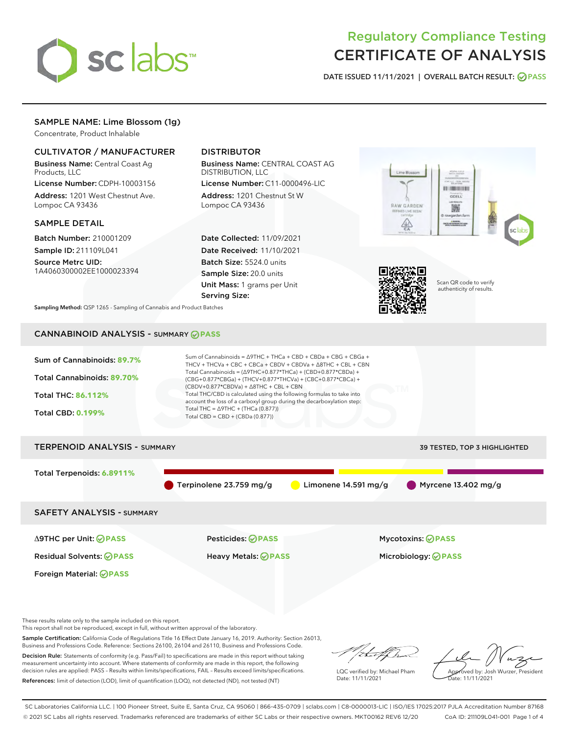

# Regulatory Compliance Testing CERTIFICATE OF ANALYSIS

DATE ISSUED 11/11/2021 | OVERALL BATCH RESULT: @ PASS

# SAMPLE NAME: Lime Blossom (1g)

Concentrate, Product Inhalable

# CULTIVATOR / MANUFACTURER

Business Name: Central Coast Ag Products, LLC

License Number: CDPH-10003156 Address: 1201 West Chestnut Ave. Lompoc CA 93436

### SAMPLE DETAIL

Batch Number: 210001209 Sample ID: 211109L041

Source Metrc UID: 1A4060300002EE1000023394

# DISTRIBUTOR

Business Name: CENTRAL COAST AG DISTRIBUTION, LLC

License Number: C11-0000496-LIC Address: 1201 Chestnut St W Lompoc CA 93436

Date Collected: 11/09/2021 Date Received: 11/10/2021 Batch Size: 5524.0 units Sample Size: 20.0 units Unit Mass: 1 grams per Unit Serving Size:





Scan QR code to verify authenticity of results.

Sampling Method: QSP 1265 - Sampling of Cannabis and Product Batches

# CANNABINOID ANALYSIS - SUMMARY **PASS**



This report shall not be reproduced, except in full, without written approval of the laboratory.

Sample Certification: California Code of Regulations Title 16 Effect Date January 16, 2019. Authority: Section 26013, Business and Professions Code. Reference: Sections 26100, 26104 and 26110, Business and Professions Code.

Decision Rule: Statements of conformity (e.g. Pass/Fail) to specifications are made in this report without taking measurement uncertainty into account. Where statements of conformity are made in this report, the following decision rules are applied: PASS – Results within limits/specifications, FAIL – Results exceed limits/specifications. References: limit of detection (LOD), limit of quantification (LOQ), not detected (ND), not tested (NT)

that f(ha

LQC verified by: Michael Pham Date: 11/11/2021

Approved by: Josh Wurzer, President ate: 11/11/2021

SC Laboratories California LLC. | 100 Pioneer Street, Suite E, Santa Cruz, CA 95060 | 866-435-0709 | sclabs.com | C8-0000013-LIC | ISO/IES 17025:2017 PJLA Accreditation Number 87168 © 2021 SC Labs all rights reserved. Trademarks referenced are trademarks of either SC Labs or their respective owners. MKT00162 REV6 12/20 CoA ID: 211109L041-001 Page 1 of 4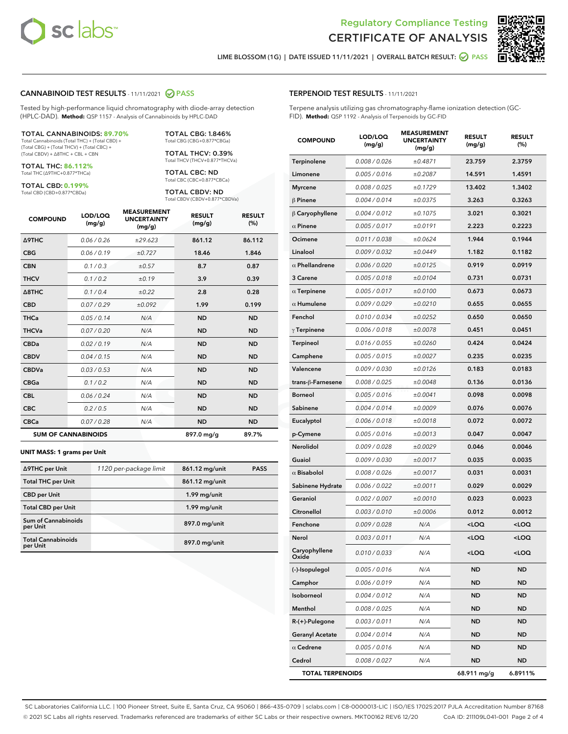



LIME BLOSSOM (1G) | DATE ISSUED 11/11/2021 | OVERALL BATCH RESULT: **⊘** PASS

### CANNABINOID TEST RESULTS - 11/11/2021 2 PASS

Tested by high-performance liquid chromatography with diode-array detection (HPLC-DAD). **Method:** QSP 1157 - Analysis of Cannabinoids by HPLC-DAD

#### TOTAL CANNABINOIDS: **89.70%**

Total Cannabinoids (Total THC) + (Total CBD) + (Total CBG) + (Total THCV) + (Total CBC) + (Total CBDV) + ∆8THC + CBL + CBN

TOTAL THC: **86.112%** Total THC (∆9THC+0.877\*THCa)

TOTAL CBD: **0.199%**

Total CBD (CBD+0.877\*CBDa)

TOTAL CBG: 1.846% Total CBG (CBG+0.877\*CBGa)

TOTAL THCV: 0.39% Total THCV (THCV+0.877\*THCVa)

TOTAL CBC: ND Total CBC (CBC+0.877\*CBCa)

TOTAL CBDV: ND Total CBDV (CBDV+0.877\*CBDVa)

| <b>COMPOUND</b>  | LOD/LOQ<br>(mg/g)          | <b>MEASUREMENT</b><br><b>UNCERTAINTY</b><br>(mg/g) | <b>RESULT</b><br>(mg/g) | <b>RESULT</b><br>(%) |
|------------------|----------------------------|----------------------------------------------------|-------------------------|----------------------|
| <b>A9THC</b>     | 0.06 / 0.26                | ±29.623                                            | 861.12                  | 86.112               |
| <b>CBG</b>       | 0.06/0.19                  | ±0.727                                             | 18.46                   | 1.846                |
| <b>CBN</b>       | 0.1 / 0.3                  | ±0.57                                              | 8.7                     | 0.87                 |
| <b>THCV</b>      | 0.1/0.2                    | ±0.19                                              | 3.9                     | 0.39                 |
| $\triangle$ 8THC | 0.1/0.4                    | ±0.22                                              | 2.8                     | 0.28                 |
| <b>CBD</b>       | 0.07/0.29                  | ±0.092                                             | 1.99                    | 0.199                |
| <b>THCa</b>      | 0.05/0.14                  | N/A                                                | <b>ND</b>               | <b>ND</b>            |
| <b>THCVa</b>     | 0.07/0.20                  | N/A                                                | <b>ND</b>               | <b>ND</b>            |
| <b>CBDa</b>      | 0.02/0.19                  | N/A                                                | <b>ND</b>               | <b>ND</b>            |
| <b>CBDV</b>      | 0.04/0.15                  | N/A                                                | <b>ND</b>               | <b>ND</b>            |
| <b>CBDVa</b>     | 0.03/0.53                  | N/A                                                | <b>ND</b>               | <b>ND</b>            |
| <b>CBGa</b>      | 0.1/0.2                    | N/A                                                | <b>ND</b>               | <b>ND</b>            |
| <b>CBL</b>       | 0.06 / 0.24                | N/A                                                | <b>ND</b>               | <b>ND</b>            |
| <b>CBC</b>       | 0.2 / 0.5                  | N/A                                                | <b>ND</b>               | <b>ND</b>            |
| <b>CBCa</b>      | 0.07 / 0.28                | N/A                                                | <b>ND</b>               | <b>ND</b>            |
|                  | <b>SUM OF CANNABINOIDS</b> |                                                    | 897.0 mg/g              | 89.7%                |

#### **UNIT MASS: 1 grams per Unit**

| ∆9THC per Unit                        | 1120 per-package limit | 861.12 mg/unit | <b>PASS</b> |
|---------------------------------------|------------------------|----------------|-------------|
| <b>Total THC per Unit</b>             |                        | 861.12 mg/unit |             |
| <b>CBD</b> per Unit                   |                        | 1.99 mg/unit   |             |
| <b>Total CBD per Unit</b>             |                        | 1.99 mg/unit   |             |
| Sum of Cannabinoids<br>per Unit       |                        | 897.0 mg/unit  |             |
| <b>Total Cannabinoids</b><br>per Unit |                        | 897.0 mg/unit  |             |

| <b>COMPOUND</b>         | LOD/LOQ<br>(mg/g) | <b>MEASUREMENT</b><br><b>UNCERTAINTY</b><br>(mg/g) | <b>RESULT</b><br>(mg/g)                         | <b>RESULT</b><br>$(\%)$ |
|-------------------------|-------------------|----------------------------------------------------|-------------------------------------------------|-------------------------|
| Terpinolene             | 0.008 / 0.026     | ±0.4871                                            | 23.759                                          | 2.3759                  |
| Limonene                | 0.005 / 0.016     | ±0.2087                                            | 14.591                                          | 1.4591                  |
| <b>Myrcene</b>          | 0.008 / 0.025     | ±0.1729                                            | 13.402                                          | 1.3402                  |
| $\beta$ Pinene          | 0.004 / 0.014     | ±0.0375                                            | 3.263                                           | 0.3263                  |
| $\beta$ Caryophyllene   | 0.004 / 0.012     | ±0.1075                                            | 3.021                                           | 0.3021                  |
| $\alpha$ Pinene         | 0.005 / 0.017     | ±0.0191                                            | 2.223                                           | 0.2223                  |
| Ocimene                 | 0.011 / 0.038     | ±0.0624                                            | 1.944                                           | 0.1944                  |
| Linalool                | 0.009 / 0.032     | ±0.0449                                            | 1.182                                           | 0.1182                  |
| $\alpha$ Phellandrene   | 0.006 / 0.020     | ±0.0125                                            | 0.919                                           | 0.0919                  |
| 3 Carene                | 0.005 / 0.018     | ±0.0104                                            | 0.731                                           | 0.0731                  |
| $\alpha$ Terpinene      | 0.005 / 0.017     | ±0.0100                                            | 0.673                                           | 0.0673                  |
| $\alpha$ Humulene       | 0.009 / 0.029     | ±0.0210                                            | 0.655                                           | 0.0655                  |
| Fenchol                 | 0.010 / 0.034     | ±0.0252                                            | 0.650                                           | 0.0650                  |
| $\gamma$ Terpinene      | 0.006 / 0.018     | ±0.0078                                            | 0.451                                           | 0.0451                  |
| <b>Terpineol</b>        | 0.016 / 0.055     | ±0.0260                                            | 0.424                                           | 0.0424                  |
| Camphene                | 0.005 / 0.015     | ±0.0027                                            | 0.235                                           | 0.0235                  |
| Valencene               | 0.009 / 0.030     | ±0.0126                                            | 0.183                                           | 0.0183                  |
| trans-ß-Farnesene       | 0.008 / 0.025     | ±0.0048                                            | 0.136                                           | 0.0136                  |
| <b>Borneol</b>          | 0.005 / 0.016     | ±0.0041                                            | 0.098                                           | 0.0098                  |
| Sabinene                | 0.004 / 0.014     | ±0.0009                                            | 0.076                                           | 0.0076                  |
| Eucalyptol              | 0.006 / 0.018     | ±0.0018                                            | 0.072                                           | 0.0072                  |
| p-Cymene                | 0.005 / 0.016     | ±0.0013                                            | 0.047                                           | 0.0047                  |
| Nerolidol               | 0.009 / 0.028     | ±0.0029                                            | 0.046                                           | 0.0046                  |
| Guaiol                  | 0.009 / 0.030     | ±0.0017                                            | 0.035                                           | 0.0035                  |
| $\alpha$ Bisabolol      | 0.008 / 0.026     | ±0.0017                                            | 0.031                                           | 0.0031                  |
| Sabinene Hydrate        | 0.006 / 0.022     | ±0.0011                                            | 0.029                                           | 0.0029                  |
| Geraniol                | 0.002 / 0.007     | ±0.0010                                            | 0.023                                           | 0.0023                  |
| Citronellol             | 0.003 / 0.010     | ±0.0006                                            | 0.012                                           | 0.0012                  |
| Fenchone                | 0.009 / 0.028     | N/A                                                | <loq< th=""><th><loq< th=""></loq<></th></loq<> | <loq< th=""></loq<>     |
| Nerol                   | 0.003 / 0.011     | N/A                                                | <loq< th=""><th><loq< th=""></loq<></th></loq<> | <loq< th=""></loq<>     |
| Caryophyllene<br>Oxide  | 0.010 / 0.033     | N/A                                                | <loq< th=""><th><loq< th=""></loq<></th></loq<> | <loq< th=""></loq<>     |
| (-)-Isopulegol          | 0.005 / 0.016     | N/A                                                | ND                                              | <b>ND</b>               |
| Camphor                 | 0.006 / 0.019     | N/A                                                | ND                                              | <b>ND</b>               |
| Isoborneol              | 0.004 / 0.012     | N/A                                                | ND                                              | <b>ND</b>               |
| Menthol                 | 0.008 / 0.025     | N/A                                                | ND                                              | <b>ND</b>               |
| $R-(+)$ -Pulegone       | 0.003 / 0.011     | N/A                                                | ND                                              | <b>ND</b>               |
| <b>Geranyl Acetate</b>  | 0.004 / 0.014     | N/A                                                | ND                                              | <b>ND</b>               |
| $\alpha$ Cedrene        | 0.005 / 0.016     | N/A                                                | ND                                              | <b>ND</b>               |
| Cedrol                  | 0.008 / 0.027     | N/A                                                | ND                                              | <b>ND</b>               |
| <b>TOTAL TERPENOIDS</b> |                   |                                                    | 68.911 mg/g                                     | 6.8911%                 |

SC Laboratories California LLC. | 100 Pioneer Street, Suite E, Santa Cruz, CA 95060 | 866-435-0709 | sclabs.com | C8-0000013-LIC | ISO/IES 17025:2017 PJLA Accreditation Number 87168 © 2021 SC Labs all rights reserved. Trademarks referenced are trademarks of either SC Labs or their respective owners. MKT00162 REV6 12/20 CoA ID: 211109L041-001 Page 2 of 4

# TERPENOID TEST RESULTS - 11/11/2021

Terpene analysis utilizing gas chromatography-flame ionization detection (GC-FID). **Method:** QSP 1192 - Analysis of Terpenoids by GC-FID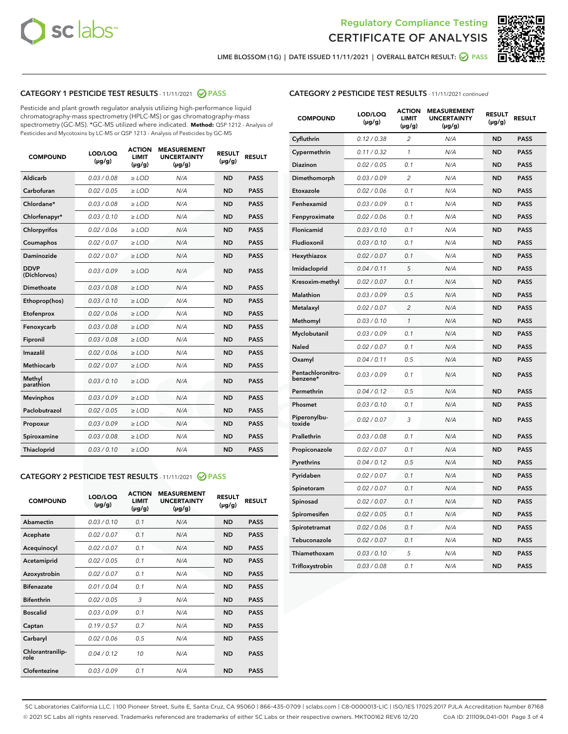



LIME BLOSSOM (1G) | DATE ISSUED 11/11/2021 | OVERALL BATCH RESULT:  $\bigcirc$  PASS

# CATEGORY 1 PESTICIDE TEST RESULTS - 11/11/2021 2 PASS

Pesticide and plant growth regulator analysis utilizing high-performance liquid chromatography-mass spectrometry (HPLC-MS) or gas chromatography-mass spectrometry (GC-MS). \*GC-MS utilized where indicated. **Method:** QSP 1212 - Analysis of Pesticides and Mycotoxins by LC-MS or QSP 1213 - Analysis of Pesticides by GC-MS

| <b>COMPOUND</b>             | LOD/LOQ<br>$(\mu g/g)$ | <b>ACTION</b><br><b>LIMIT</b><br>$(\mu g/g)$ | <b>MEASUREMENT</b><br><b>UNCERTAINTY</b><br>$(\mu g/g)$ | <b>RESULT</b><br>$(\mu g/g)$ | <b>RESULT</b> |
|-----------------------------|------------------------|----------------------------------------------|---------------------------------------------------------|------------------------------|---------------|
| Aldicarb                    | 0.03/0.08              | $>$ LOD                                      | N/A                                                     | <b>ND</b>                    | <b>PASS</b>   |
| Carbofuran                  | 0.02/0.05              | $>$ LOD                                      | N/A                                                     | <b>ND</b>                    | <b>PASS</b>   |
| Chlordane*                  | 0.03 / 0.08            | $\geq$ LOD                                   | N/A                                                     | <b>ND</b>                    | <b>PASS</b>   |
| Chlorfenapyr*               | 0.03/0.10              | $>$ LOD                                      | N/A                                                     | <b>ND</b>                    | <b>PASS</b>   |
| Chlorpyrifos                | 0.02 / 0.06            | $\ge$ LOD                                    | N/A                                                     | <b>ND</b>                    | <b>PASS</b>   |
| Coumaphos                   | 0.02 / 0.07            | $\ge$ LOD                                    | N/A                                                     | <b>ND</b>                    | <b>PASS</b>   |
| Daminozide                  | 0.02/0.07              | $>$ LOD                                      | N/A                                                     | <b>ND</b>                    | <b>PASS</b>   |
| <b>DDVP</b><br>(Dichlorvos) | 0.03/0.09              | $\ge$ LOD                                    | N/A                                                     | <b>ND</b>                    | <b>PASS</b>   |
| <b>Dimethoate</b>           | 0.03 / 0.08            | $\ge$ LOD                                    | N/A                                                     | <b>ND</b>                    | <b>PASS</b>   |
| Ethoprop(hos)               | 0.03/0.10              | $>$ LOD                                      | N/A                                                     | <b>ND</b>                    | <b>PASS</b>   |
| Etofenprox                  | 0.02 / 0.06            | $\ge$ LOD                                    | N/A                                                     | <b>ND</b>                    | <b>PASS</b>   |
| Fenoxycarb                  | 0.03 / 0.08            | $>$ LOD                                      | N/A                                                     | <b>ND</b>                    | <b>PASS</b>   |
| Fipronil                    | 0.03 / 0.08            | $\ge$ LOD                                    | N/A                                                     | <b>ND</b>                    | <b>PASS</b>   |
| Imazalil                    | 0.02 / 0.06            | $\ge$ LOD                                    | N/A                                                     | <b>ND</b>                    | <b>PASS</b>   |
| <b>Methiocarb</b>           | 0.02 / 0.07            | $\ge$ LOD                                    | N/A                                                     | <b>ND</b>                    | <b>PASS</b>   |
| Methyl<br>parathion         | 0.03/0.10              | $\ge$ LOD                                    | N/A                                                     | <b>ND</b>                    | <b>PASS</b>   |
| <b>Mevinphos</b>            | 0.03/0.09              | $\ge$ LOD                                    | N/A                                                     | <b>ND</b>                    | <b>PASS</b>   |
| Paclobutrazol               | 0.02 / 0.05            | $>$ LOD                                      | N/A                                                     | <b>ND</b>                    | <b>PASS</b>   |
| Propoxur                    | 0.03/0.09              | $\ge$ LOD                                    | N/A                                                     | <b>ND</b>                    | <b>PASS</b>   |
| Spiroxamine                 | 0.03 / 0.08            | $\ge$ LOD                                    | N/A                                                     | <b>ND</b>                    | <b>PASS</b>   |
| Thiacloprid                 | 0.03/0.10              | $\ge$ LOD                                    | N/A                                                     | <b>ND</b>                    | <b>PASS</b>   |

# CATEGORY 2 PESTICIDE TEST RESULTS - 11/11/2021 @ PASS

| <b>COMPOUND</b>          | LOD/LOO<br>$(\mu g/g)$ | <b>ACTION</b><br>LIMIT<br>$(\mu g/g)$ | <b>MEASUREMENT</b><br><b>UNCERTAINTY</b><br>$(\mu g/g)$ | <b>RESULT</b><br>$(\mu g/g)$ | <b>RESULT</b> |  |
|--------------------------|------------------------|---------------------------------------|---------------------------------------------------------|------------------------------|---------------|--|
| Abamectin                | 0.03/0.10              | 0.1                                   | N/A                                                     | <b>ND</b>                    | <b>PASS</b>   |  |
| Acephate                 | 0.02/0.07              | 0.1                                   | N/A                                                     | <b>ND</b>                    | <b>PASS</b>   |  |
| Acequinocyl              | 0.02/0.07              | 0.1                                   | N/A                                                     | <b>ND</b>                    | <b>PASS</b>   |  |
| Acetamiprid              | 0.02/0.05              | 0.1                                   | N/A                                                     | <b>ND</b>                    | <b>PASS</b>   |  |
| Azoxystrobin             | 0.02/0.07              | 0.1                                   | N/A                                                     | <b>ND</b>                    | <b>PASS</b>   |  |
| <b>Bifenazate</b>        | 0.01/0.04              | 0.1                                   | N/A                                                     | <b>ND</b>                    | <b>PASS</b>   |  |
| <b>Bifenthrin</b>        | 0.02/0.05              | 3                                     | N/A                                                     | <b>ND</b>                    | <b>PASS</b>   |  |
| <b>Boscalid</b>          | 0.03/0.09              | 0.1                                   | N/A                                                     | <b>ND</b>                    | <b>PASS</b>   |  |
| Captan                   | 0.19/0.57              | 0.7                                   | N/A                                                     | <b>ND</b>                    | <b>PASS</b>   |  |
| Carbaryl                 | 0.02/0.06              | 0.5                                   | N/A                                                     | <b>ND</b>                    | <b>PASS</b>   |  |
| Chlorantranilip-<br>role | 0.04/0.12              | 10                                    | N/A                                                     | <b>ND</b>                    | <b>PASS</b>   |  |
| Clofentezine             | 0.03/0.09              | 0.1                                   | N/A                                                     | <b>ND</b>                    | <b>PASS</b>   |  |

# CATEGORY 2 PESTICIDE TEST RESULTS - 11/11/2021 continued

| <b>COMPOUND</b>               | LOD/LOQ<br>(µg/g) | <b>ACTION</b><br><b>LIMIT</b><br>(µg/g) | <b>MEASUREMENT</b><br><b>UNCERTAINTY</b><br>$(\mu g/g)$ | <b>RESULT</b><br>(µg/g) | <b>RESULT</b> |
|-------------------------------|-------------------|-----------------------------------------|---------------------------------------------------------|-------------------------|---------------|
| Cyfluthrin                    | 0.12 / 0.38       | $\overline{c}$                          | N/A                                                     | <b>ND</b>               | <b>PASS</b>   |
| Cypermethrin                  | 0.11 / 0.32       | $\mathcal{I}$                           | N/A                                                     | <b>ND</b>               | <b>PASS</b>   |
| <b>Diazinon</b>               | 0.02 / 0.05       | 0.1                                     | N/A                                                     | <b>ND</b>               | <b>PASS</b>   |
| Dimethomorph                  | 0.03 / 0.09       | 2                                       | N/A                                                     | <b>ND</b>               | <b>PASS</b>   |
| Etoxazole                     | 0.02 / 0.06       | 0.1                                     | N/A                                                     | <b>ND</b>               | <b>PASS</b>   |
| Fenhexamid                    | 0.03 / 0.09       | 0.1                                     | N/A                                                     | <b>ND</b>               | <b>PASS</b>   |
| Fenpyroximate                 | 0.02 / 0.06       | 0.1                                     | N/A                                                     | <b>ND</b>               | <b>PASS</b>   |
| Flonicamid                    | 0.03/0.10         | 0.1                                     | N/A                                                     | <b>ND</b>               | <b>PASS</b>   |
| Fludioxonil                   | 0.03 / 0.10       | 0.1                                     | N/A                                                     | <b>ND</b>               | <b>PASS</b>   |
| Hexythiazox                   | 0.02 / 0.07       | 0.1                                     | N/A                                                     | <b>ND</b>               | <b>PASS</b>   |
| Imidacloprid                  | 0.04 / 0.11       | 5                                       | N/A                                                     | <b>ND</b>               | <b>PASS</b>   |
| Kresoxim-methyl               | 0.02 / 0.07       | 0.1                                     | N/A                                                     | <b>ND</b>               | <b>PASS</b>   |
| Malathion                     | 0.03 / 0.09       | 0.5                                     | N/A                                                     | <b>ND</b>               | <b>PASS</b>   |
| Metalaxyl                     | 0.02 / 0.07       | $\overline{c}$                          | N/A                                                     | <b>ND</b>               | <b>PASS</b>   |
| Methomyl                      | 0.03/0.10         | 1                                       | N/A                                                     | <b>ND</b>               | <b>PASS</b>   |
| Myclobutanil                  | 0.03 / 0.09       | 0.1                                     | N/A                                                     | <b>ND</b>               | <b>PASS</b>   |
| Naled                         | 0.02 / 0.07       | 0.1                                     | N/A                                                     | <b>ND</b>               | <b>PASS</b>   |
| Oxamyl                        | 0.04 / 0.11       | 0.5                                     | N/A                                                     | ND                      | <b>PASS</b>   |
| Pentachloronitro-<br>benzene* | 0.03 / 0.09       | 0.1                                     | N/A                                                     | <b>ND</b>               | <b>PASS</b>   |
| Permethrin                    | 0.04 / 0.12       | 0.5                                     | N/A                                                     | <b>ND</b>               | <b>PASS</b>   |
| Phosmet                       | 0.03 / 0.10       | 0.1                                     | N/A                                                     | <b>ND</b>               | <b>PASS</b>   |
| Piperonylbu-<br>toxide        | 0.02 / 0.07       | 3                                       | N/A                                                     | <b>ND</b>               | <b>PASS</b>   |
| Prallethrin                   | 0.03 / 0.08       | 0.1                                     | N/A                                                     | <b>ND</b>               | <b>PASS</b>   |
| Propiconazole                 | 0.02 / 0.07       | 0.1                                     | N/A                                                     | <b>ND</b>               | <b>PASS</b>   |
| Pyrethrins                    | 0.04 / 0.12       | 0.5                                     | N/A                                                     | <b>ND</b>               | <b>PASS</b>   |
| Pyridaben                     | 0.02 / 0.07       | 0.1                                     | N/A                                                     | <b>ND</b>               | <b>PASS</b>   |
| Spinetoram                    | 0.02 / 0.07       | 0.1                                     | N/A                                                     | <b>ND</b>               | <b>PASS</b>   |
| Spinosad                      | 0.02 / 0.07       | 0.1                                     | N/A                                                     | <b>ND</b>               | <b>PASS</b>   |
| Spiromesifen                  | 0.02 / 0.05       | 0.1                                     | N/A                                                     | <b>ND</b>               | <b>PASS</b>   |
| Spirotetramat                 | 0.02 / 0.06       | 0.1                                     | N/A                                                     | <b>ND</b>               | <b>PASS</b>   |
| Tebuconazole                  | 0.02 / 0.07       | 0.1                                     | N/A                                                     | <b>ND</b>               | <b>PASS</b>   |
| Thiamethoxam                  | 0.03 / 0.10       | 5                                       | N/A                                                     | <b>ND</b>               | <b>PASS</b>   |
| Trifloxystrobin               | 0.03 / 0.08       | 0.1                                     | N/A                                                     | <b>ND</b>               | <b>PASS</b>   |

SC Laboratories California LLC. | 100 Pioneer Street, Suite E, Santa Cruz, CA 95060 | 866-435-0709 | sclabs.com | C8-0000013-LIC | ISO/IES 17025:2017 PJLA Accreditation Number 87168 © 2021 SC Labs all rights reserved. Trademarks referenced are trademarks of either SC Labs or their respective owners. MKT00162 REV6 12/20 CoA ID: 211109L041-001 Page 3 of 4